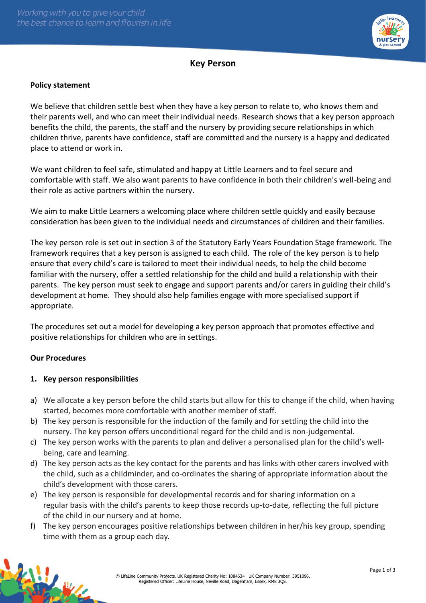

# **Key Person**

#### **Policy statement**

We believe that children settle best when they have a key person to relate to, who knows them and their parents well, and who can meet their individual needs. Research shows that a key person approach benefits the child, the parents, the staff and the nursery by providing secure relationships in which children thrive, parents have confidence, staff are committed and the nursery is a happy and dedicated place to attend or work in.

We want children to feel safe, stimulated and happy at Little Learners and to feel secure and comfortable with staff. We also want parents to have confidence in both their children's well-being and their role as active partners within the nursery.

We aim to make Little Learners a welcoming place where children settle quickly and easily because consideration has been given to the individual needs and circumstances of children and their families.

The key person role is set out in section 3 of the Statutory Early Years Foundation Stage framework. The framework requires that a key person is assigned to each child. The role of the key person is to help ensure that every child's care is tailored to meet their individual needs, to help the child become familiar with the nursery, offer a settled relationship for the child and build a relationship with their parents. The key person must seek to engage and support parents and/or carers in guiding their child's development at home. They should also help families engage with more specialised support if appropriate.

The procedures set out a model for developing a key person approach that promotes effective and positive relationships for children who are in settings.

### **Our Procedures**

### **1. Key person responsibilities**

- a) We allocate a key person before the child starts but allow for this to change if the child, when having started, becomes more comfortable with another member of staff.
- b) The key person is responsible for the induction of the family and for settling the child into the nursery. The key person offers unconditional regard for the child and is non-judgemental.
- c) The key person works with the parents to plan and deliver a personalised plan for the child's wellbeing, care and learning.
- d) The key person acts as the key contact for the parents and has links with other carers involved with the child, such as a childminder, and co-ordinates the sharing of appropriate information about the child's development with those carers.
- e) The key person is responsible for developmental records and for sharing information on a regular basis with the child's parents to keep those records up-to-date, reflecting the full picture of the child in our nursery and at home.
- f) The key person encourages positive relationships between children in her/his key group, spending time with them as a group each day.

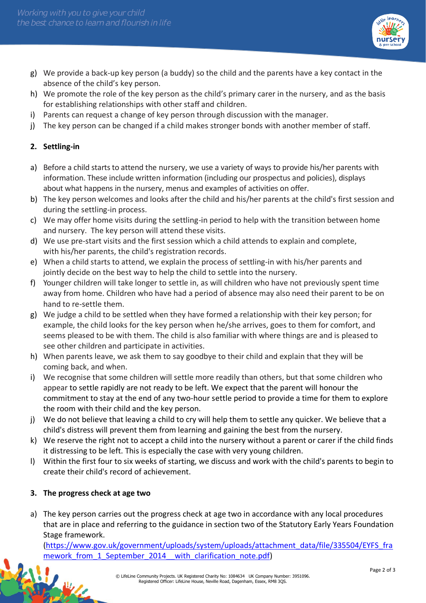

- g) We provide a back-up key person (a buddy) so the child and the parents have a key contact in the absence of the child's key person.
- h) We promote the role of the key person as the child's primary carer in the nursery, and as the basis for establishing relationships with other staff and children.
- i) Parents can request a change of key person through discussion with the manager.
- j) The key person can be changed if a child makes stronger bonds with another member of staff.

### **2. Settling-in**

- a) Before a child starts to attend the nursery, we use a variety of ways to provide his/her parents with information. These include written information (including our prospectus and policies), displays about what happens in the nursery, menus and examples of activities on offer.
- b) The key person welcomes and looks after the child and his/her parents at the child's first session and during the settling-in process.
- c) We may offer home visits during the settling-in period to help with the transition between home and nursery. The key person will attend these visits.
- d) We use pre-start visits and the first session which a child attends to explain and complete, with his/her parents, the child's registration records.
- e) When a child starts to attend, we explain the process of settling-in with his/her parents and jointly decide on the best way to help the child to settle into the nursery.
- f) Younger children will take longer to settle in, as will children who have not previously spent time away from home. Children who have had a period of absence may also need their parent to be on hand to re-settle them.
- g) We judge a child to be settled when they have formed a relationship with their key person; for example, the child looks for the key person when he/she arrives, goes to them for comfort, and seems pleased to be with them. The child is also familiar with where things are and is pleased to see other children and participate in activities.
- h) When parents leave, we ask them to say goodbye to their child and explain that they will be coming back, and when.
- i) We recognise that some children will settle more readily than others, but that some children who appear to settle rapidly are not ready to be left. We expect that the parent will honour the commitment to stay at the end of any two-hour settle period to provide a time for them to explore the room with their child and the key person.
- j) We do not believe that leaving a child to cry will help them to settle any quicker. We believe that a child's distress will prevent them from learning and gaining the best from the nursery.
- k) We reserve the right not to accept a child into the nursery without a parent or carer if the child finds it distressing to be left. This is especially the case with very young children.
- l) Within the first four to six weeks of starting, we discuss and work with the child's parents to begin to create their child's record of achievement.

## **3. The progress check at age two**

a) The key person carries out the progress check at age two in accordance with any local procedures that are in place and referring to the guidance in section two of the Statutory Early Years Foundation Stage framework.

[\(https://www.gov.uk/government/uploads/system/uploads/attachment\\_data/file/335504/EYFS\\_fra](https://www.gov.uk/government/uploads/system/uploads/attachment_data/file/335504/EYFS_framework_from_1_September_2014__with_clarification_note.pdf) mework from 1 September 2014 with clarification note.pdf)